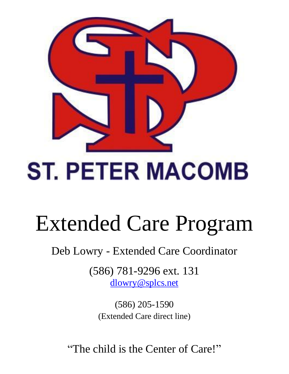

# **ST. PETER MACOMB**

# Extended Care Program

Deb Lowry - Extended Care Coordinator

(586) 781-9296 ext. 131 [dlowry@splcs.net](mailto:dlowry@splcs.net)

(586) 205-1590 (Extended Care direct line)

"The child is the Center of Care!"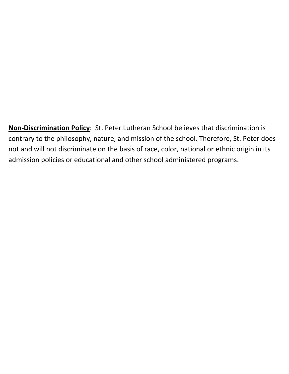**Non-Discrimination Policy**: St. Peter Lutheran School believes that discrimination is contrary to the philosophy, nature, and mission of the school. Therefore, St. Peter does not and will not discriminate on the basis of race, color, national or ethnic origin in its admission policies or educational and other school administered programs.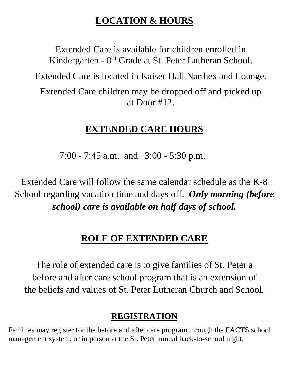## **LOCATION & HOURS**

Extended Care is available for children enrolled in Kindergarten - 8<sup>th</sup> Grade at St. Peter Lutheran School.

Extended Care is located in Kaiser Hall Narthex and Lounge.

Extended Care children may be dropped off and picked up at Door #12.

#### **EXTENDED CARE HOURS**

7:00 - 7:45 a.m. and 3:00 - 5:30 p.m.

Extended Care will follow the same calendar schedule as the K-8 School regarding vacation time and days off. *Only morning (before school) care is available on half days of school.*

#### **ROLE OF EXTENDED CARE**

The role of extended care is to give families of St. Peter a before and after care school program that is an extension of the beliefs and values of St. Peter Lutheran Church and School.

#### **REGISTRATION**

Families may register for the before and after care program through the FACTS school management system, or in person at the St. Peter annual back-to-school night.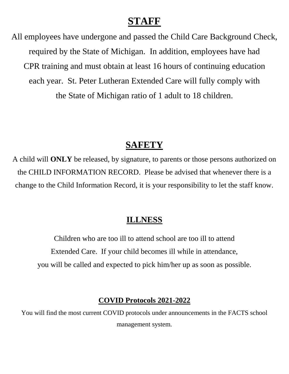### **STAFF**

All employees have undergone and passed the Child Care Background Check, required by the State of Michigan. In addition, employees have had CPR training and must obtain at least 16 hours of continuing education each year. St. Peter Lutheran Extended Care will fully comply with the State of Michigan ratio of 1 adult to 18 children.

#### **SAFETY**

A child will **ONLY** be released, by signature, to parents or those persons authorized on the CHILD INFORMATION RECORD. Please be advised that whenever there is a change to the Child Information Record, it is your responsibility to let the staff know.

#### **ILLNESS**

Children who are too ill to attend school are too ill to attend Extended Care. If your child becomes ill while in attendance, you will be called and expected to pick him/her up as soon as possible.

#### **COVID Protocols 2021-2022**

You will find the most current COVID protocols under announcements in the FACTS school management system.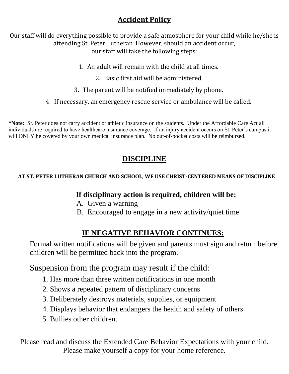#### **Accident Policy**

Our staff will do everything possible to provide a safe atmosphere for your child while he/she is attending St. Peter Lutheran. However, should an accident occur, our staff will take the following steps:

- 1. An adult will remain with the child at all times.
	- 2. Basic first aid will be administered
- 3. The parent will be notified immediately by phone.
- 4. If necessary, an emergency rescue service or ambulance will be called.

**\*Note:** St. Peter does not carry accident or athletic insurance on the students. Under the Affordable Care Act all individuals are required to have healthcare insurance coverage. If an injury accident occurs on St. Peter's campus it will ONLY be covered by your own medical insurance plan. No out-of-pocket costs will be reimbursed.

#### **DISCIPLINE**

#### **AT ST. PETER LUTHERAN CHURCH AND SCHOOL, WE USE CHRIST-CENTERED MEANS OF DISCIPLINE**

#### **If disciplinary action is required, children will be:**

- A. Given a warning
- B. Encouraged to engage in a new activity/quiet time

#### **IF NEGATIVE BEHAVIOR CONTINUES:**

Formal written notifications will be given and parents must sign and return before children will be permitted back into the program.

Suspension from the program may result if the child:

- 1. Has more than three written notifications in one month
- 2. Shows a repeated pattern of disciplinary concerns
- 3. Deliberately destroys materials, supplies, or equipment
- 4. Displays behavior that endangers the health and safety of others
- 5. Bullies other children.

Please read and discuss the Extended Care Behavior Expectations with your child. Please make yourself a copy for your home reference.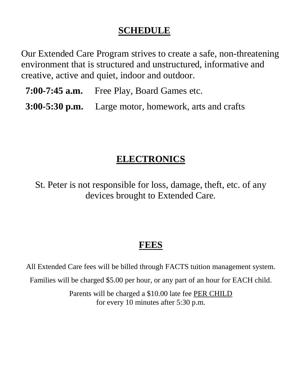### **SCHEDULE**

Our Extended Care Program strives to create a safe, non-threatening environment that is structured and unstructured, informative and creative, active and quiet, indoor and outdoor.

- **7:00-7:45 a.m.** Free Play, Board Games etc.
- **3:00-5:30 p.m.** Large motor, homework, arts and crafts

# **ELECTRONICS**

St. Peter is not responsible for loss, damage, theft, etc. of any devices brought to Extended Care.

## **FEES**

All Extended Care fees will be billed through FACTS tuition management system.

Families will be charged \$5.00 per hour, or any part of an hour for EACH child.

Parents will be charged a \$10.00 late fee PER CHILD for every 10 minutes after 5:30 p.m.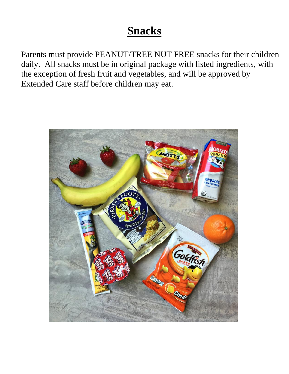# **Snacks**

Parents must provide PEANUT/TREE NUT FREE snacks for their children daily. All snacks must be in original package with listed ingredients, with the exception of fresh fruit and vegetables, and will be approved by Extended Care staff before children may eat.